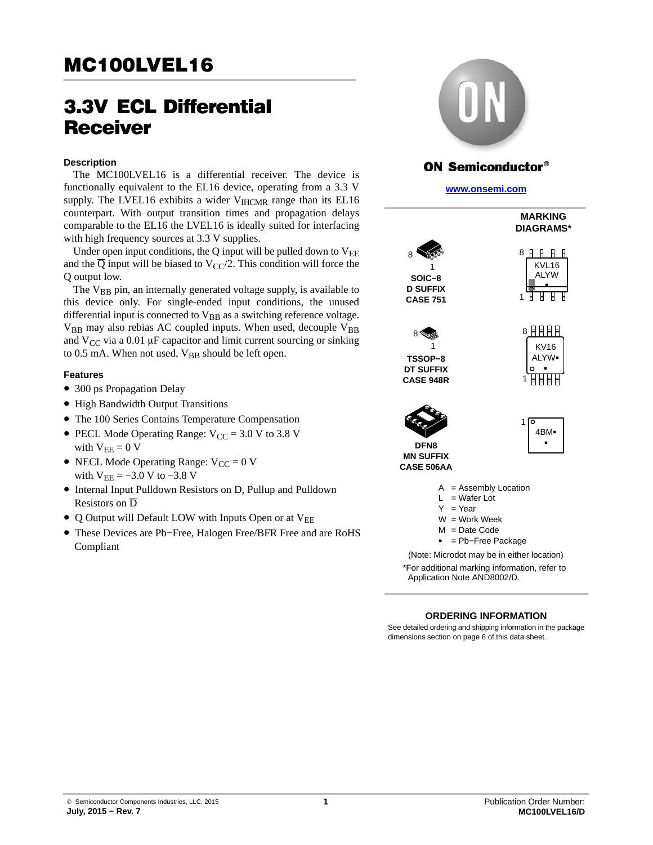# 3.3V ECL Differential **Receiver**

#### **Description**

The MC100LVEL16 is a differential receiver. The device is functionally equivalent to the EL16 device, operating from a 3.3 V supply. The LVEL16 exhibits a wider  $V<sub>HCMR</sub>$  range than its EL16 counterpart. With output transition times and propagation delays comparable to the EL16 the LVEL16 is ideally suited for interfacing with high frequency sources at 3.3 V supplies.

Under open input conditions, the  $Q$  input will be pulled down to  $V_{EE}$ and the  $\overline{Q}$  input will be biased to V<sub>CC</sub>/2. This condition will force the Q output low.

The  $V_{BB}$  pin, an internally generated voltage supply, is available to this device only. For single-ended input conditions, the unused differential input is connected to  $V_{BB}$  as a switching reference voltage.  $V_{BB}$  may also rebias AC coupled inputs. When used, decouple  $V_{BB}$ and  $V_{CC}$  via a 0.01 µF capacitor and limit current sourcing or sinking to 0.5 mA. When not used,  $V_{BB}$  should be left open.

#### **Features**

- 300 ps Propagation Delay
- High Bandwidth Output Transitions
- The 100 Series Contains Temperature Compensation
- PECL Mode Operating Range:  $V_{CC} = 3.0 V$  to 3.8 V with  $V_{EE} = 0 V$
- NECL Mode Operating Range:  $V_{CC} = 0$  V with  $V_{EE} = -3.0 V$  to  $-3.8 V$
- Internal Input Pulldown Resistors on D, Pullup and Pulldown Resistors on D
- Q Output will Default LOW with Inputs Open or at  $V_{EE}$
- These Devices are Pb−Free, Halogen Free/BFR Free and are RoHS Compliant



## **ON Semiconductor®**

**[www.onsemi.com]( http://www.onsemi.com/)**



#### **ORDERING INFORMATION**

See detailed ordering and shipping information in the package dimensions section on page [6](#page-5-0) of this data sheet.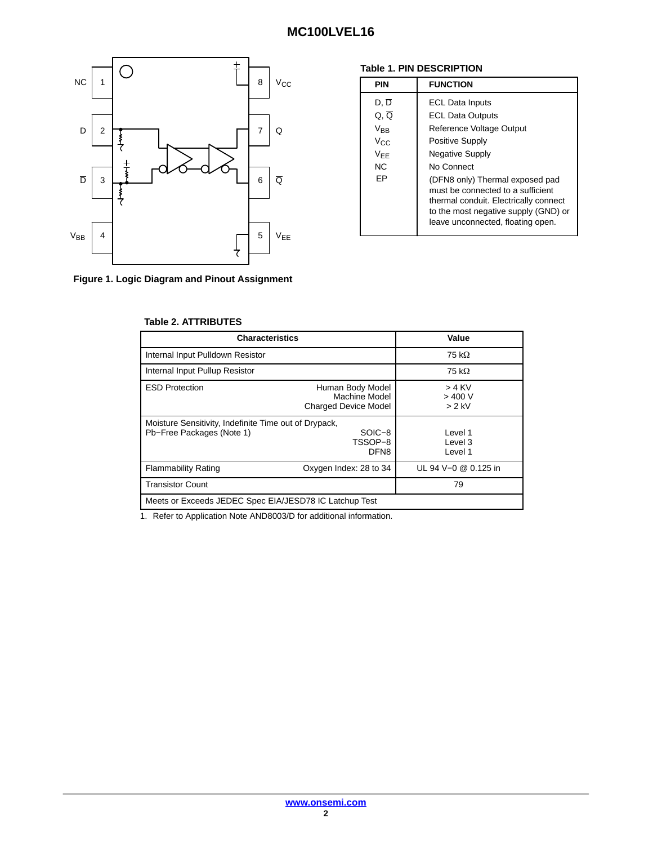

### **Table 1. PIN DESCRIPTION**

| <b>PIN</b>                                                   | <b>FUNCTION</b>                                                                                                                                                                                                                                                                                                                               |
|--------------------------------------------------------------|-----------------------------------------------------------------------------------------------------------------------------------------------------------------------------------------------------------------------------------------------------------------------------------------------------------------------------------------------|
| D. D<br>Q, Q<br>$V_{BB}$<br>$V_{C}$<br>$V_{FF}$<br>NC.<br>FP | <b>ECL Data Inputs</b><br><b>ECL Data Outputs</b><br>Reference Voltage Output<br><b>Positive Supply</b><br><b>Negative Supply</b><br>No Connect<br>(DFN8 only) Thermal exposed pad<br>must be connected to a sufficient<br>thermal conduit. Electrically connect<br>to the most negative supply (GND) or<br>leave unconnected, floating open. |

**Figure 1. Logic Diagram and Pinout Assignment**

#### **Table 2. ATTRIBUTES**

| <b>Characteristics</b>                                                             |                                                                  | Value                           |  |  |  |  |  |  |
|------------------------------------------------------------------------------------|------------------------------------------------------------------|---------------------------------|--|--|--|--|--|--|
| Internal Input Pulldown Resistor                                                   |                                                                  | 75 kΩ                           |  |  |  |  |  |  |
| Internal Input Pullup Resistor                                                     |                                                                  | 75 k $\Omega$                   |  |  |  |  |  |  |
| <b>ESD Protection</b>                                                              | Human Body Model<br>Machine Model<br><b>Charged Device Model</b> | $> 4$ KV<br>> 400 V<br>$> 2$ kV |  |  |  |  |  |  |
| Moisture Sensitivity, Indefinite Time out of Drypack,<br>Pb-Free Packages (Note 1) | SOIC-8<br>TSSOP-8<br>DFN <sub>8</sub>                            | Level 1<br>Level 3<br>Level 1   |  |  |  |  |  |  |
| <b>Flammability Rating</b>                                                         | Oxygen Index: 28 to 34                                           | UL 94 V-0 @ 0.125 in            |  |  |  |  |  |  |
| <b>Transistor Count</b>                                                            |                                                                  | 79                              |  |  |  |  |  |  |
| Meets or Exceeds JEDEC Spec EIA/JESD78 IC Latchup Test                             |                                                                  |                                 |  |  |  |  |  |  |

1. Refer to Application Note AND8003/D for additional information.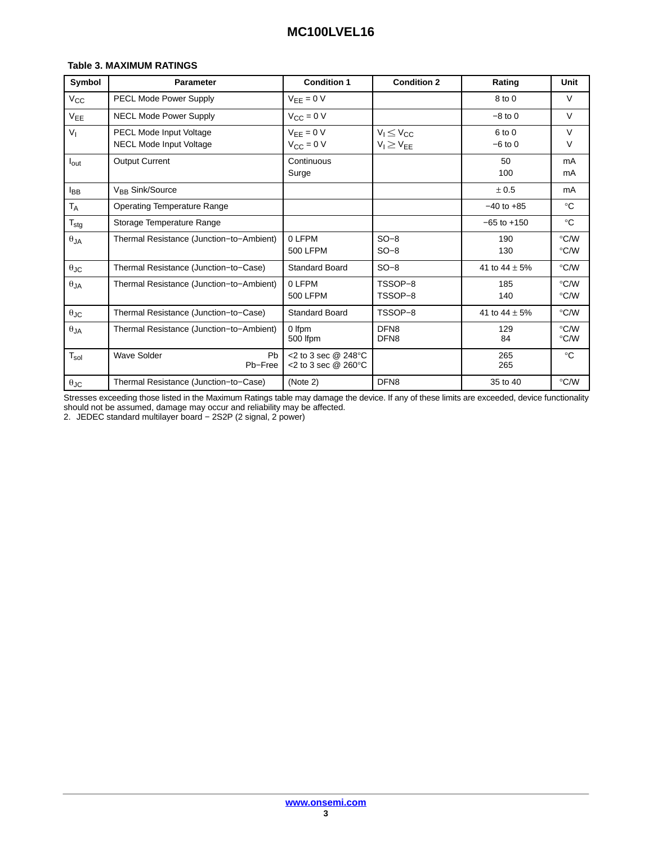#### **Table 3. MAXIMUM RATINGS**

| Symbol               | <b>Parameter</b>                                                 | <b>Condition 1</b>                                   | <b>Condition 2</b>                     | Rating                | Unit                    |
|----------------------|------------------------------------------------------------------|------------------------------------------------------|----------------------------------------|-----------------------|-------------------------|
| $V_{\rm CC}$         | PECL Mode Power Supply                                           | $V_{EE} = 0 V$                                       |                                        | 8 to 0                | $\vee$                  |
| V <sub>EE</sub>      | <b>NECL Mode Power Supply</b>                                    | $V_{CC} = 0 V$                                       |                                        | $-8$ to 0             | $\vee$                  |
| V <sub>1</sub>       | <b>PECL Mode Input Voltage</b><br><b>NECL Mode Input Voltage</b> | $V_{EE} = 0 V$<br>$V_{CC} = 0 V$                     | $V_1 \leq V_{CC}$<br>$V_I \geq V_{EE}$ | 6 to 0<br>$-6$ to $0$ | $\vee$<br>V             |
| $I_{\text{out}}$     | <b>Output Current</b>                                            | Continuous<br>Surge                                  |                                        | 50<br>100             | mA<br>mA                |
| <b>IBB</b>           | V <sub>BB</sub> Sink/Source                                      |                                                      |                                        | ± 0.5                 | mA                      |
| $T_A$                | <b>Operating Temperature Range</b>                               |                                                      |                                        | $-40$ to $+85$        | $^{\circ}C$             |
| $T_{\text{stg}}$     | Storage Temperature Range                                        |                                                      |                                        | $-65$ to $+150$       | $^{\circ}C$             |
| $\theta_{JA}$        | Thermal Resistance (Junction-to-Ambient)                         | 0 LFPM<br><b>500 LFPM</b>                            | $SO-8$<br>$SO-8$                       | 190<br>130            | °C/W<br>°C/W            |
| $\theta$ JC          | Thermal Resistance (Junction-to-Case)                            | <b>Standard Board</b>                                | $SO-8$                                 | 41 to $44 \pm 5\%$    | °C/W                    |
| $\theta$ JA          | Thermal Resistance (Junction-to-Ambient)                         | 0 LFPM<br>500 LFPM                                   | TSSOP-8<br>TSSOP-8                     | 185<br>140            | °C/W<br>$\degree$ C/W   |
| $\theta_{\text{JC}}$ | Thermal Resistance (Junction-to-Case)                            | <b>Standard Board</b>                                | TSSOP-8                                | 41 to $44 \pm 5\%$    | °C/W                    |
| $\theta_{JA}$        | Thermal Resistance (Junction-to-Ambient)                         | 0 Ifpm<br>500 lfpm                                   | DFN <sub>8</sub><br>DFN <sub>8</sub>   | 129<br>84             | °C/W<br>$\degree$ C/W   |
| $T_{sol}$            | <b>Wave Solder</b><br>Pb<br>Pb-Free                              | <2 to 3 sec $@$ 248 $°C$<br><2 to 3 sec $@$ 260 $°C$ |                                        | 265<br>265            | $^{\circ}C$             |
| $\theta_{\text{JC}}$ | Thermal Resistance (Junction-to-Case)                            | (Note 2)                                             | DFN8                                   | 35 to 40              | $\mathrm{C}/\mathrm{W}$ |

Stresses exceeding those listed in the Maximum Ratings table may damage the device. If any of these limits are exceeded, device functionality should not be assumed, damage may occur and reliability may be affected.

2. JEDEC standard multilayer board − 2S2P (2 signal, 2 power)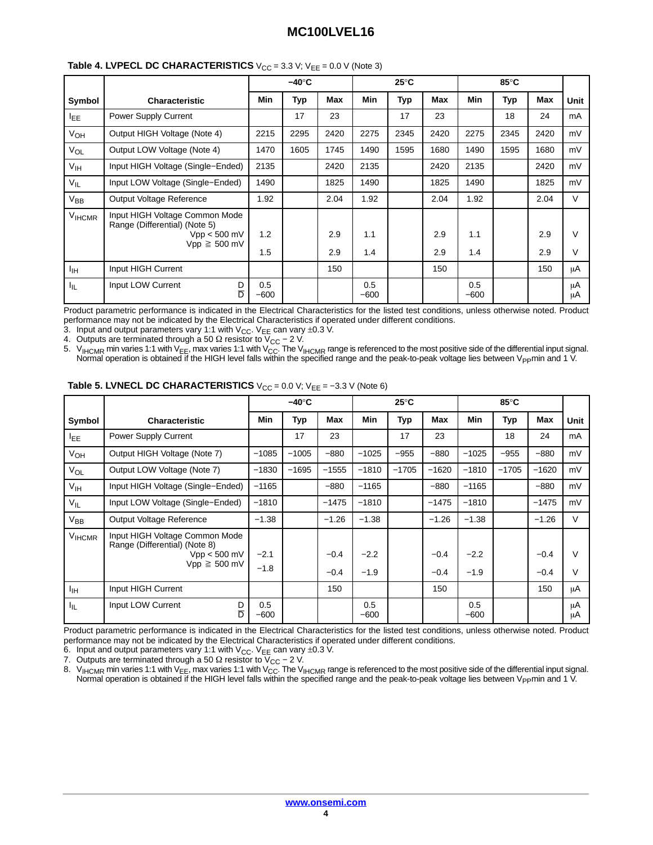|                 |                                                                                                        | –40°C         |      |            | $25^{\circ}$ C |      |            | 85°C          |      |            |             |
|-----------------|--------------------------------------------------------------------------------------------------------|---------------|------|------------|----------------|------|------------|---------------|------|------------|-------------|
| Symbol          | <b>Characteristic</b>                                                                                  | <b>Min</b>    | Typ  | Max        | <b>Min</b>     | Typ  | Max        | <b>Min</b>    | Typ  | Max        | <b>Unit</b> |
| I <sub>EE</sub> | Power Supply Current                                                                                   |               | 17   | 23         |                | 17   | 23         |               | 18   | 24         | mA          |
| VOH             | Output HIGH Voltage (Note 4)                                                                           | 2215          | 2295 | 2420       | 2275           | 2345 | 2420       | 2275          | 2345 | 2420       | mV          |
| $V_{OL}$        | Output LOW Voltage (Note 4)                                                                            | 1470          | 1605 | 1745       | 1490           | 1595 | 1680       | 1490          | 1595 | 1680       | mV          |
| $V_{\text{IH}}$ | Input HIGH Voltage (Single-Ended)                                                                      | 2135          |      | 2420       | 2135           |      | 2420       | 2135          |      | 2420       | mV          |
| $V_{IL}$        | Input LOW Voltage (Single-Ended)                                                                       | 1490          |      | 1825       | 1490           |      | 1825       | 1490          |      | 1825       | mV          |
| $V_{BB}$        | Output Voltage Reference                                                                               | 1.92          |      | 2.04       | 1.92           |      | 2.04       | 1.92          |      | 2.04       | $\vee$      |
| <b>VIHCMR</b>   | Input HIGH Voltage Common Mode<br>Range (Differential) (Note 5)<br>$Vpp < 500$ mV<br>$Vpp \geq 500$ mV | 1.2<br>1.5    |      | 2.9<br>2.9 | 1.1<br>1.4     |      | 2.9<br>2.9 | 1.1<br>1.4    |      | 2.9<br>2.9 | $\vee$<br>V |
| ŀщ              | Input HIGH Current                                                                                     |               |      | 150        |                |      | 150        |               |      | 150        | μA          |
| հը              | Input LOW Current<br>D<br>$\overline{D}$                                                               | 0.5<br>$-600$ |      |            | 0.5<br>$-600$  |      |            | 0.5<br>$-600$ |      |            | μA<br>μA    |

#### **Table 4. LVPECL DC CHARACTERISTICS**  $V_{CC} = 3.3 V$ ;  $V_{EE} = 0.0 V$  (Note 3)

Product parametric performance is indicated in the Electrical Characteristics for the listed test conditions, unless otherwise noted. Product performance may not be indicated by the Electrical Characteristics if operated under different conditions.

3. Input and output parameters vary 1:1 with  $\rm V_{CC}$ .  $\rm V_{EE}$  can vary  $\pm$ 0.3 V.

4. Outputs are terminated through a 50  $\Omega$  resistor to V<sub>CC</sub> – 2 V.

5.  $\,$  V<sub>IHCMR</sub> min varies 1:1 with V<sub>EE</sub>, max varies 1:1 with V<sub>CC</sub>. The V<sub>IHCMR</sub> range is referenced to the most positive side of the differential input signal. Normal operation is obtained if the HIGH level falls within the specified range and the peak-to-peak voltage lies between V<sub>PP</sub>min and 1 V.

|                   |                                                                                                        | $-40^\circ C$    |         | $25^{\circ}$ C   |                  |            | 85°C             |                  |            |                  |             |
|-------------------|--------------------------------------------------------------------------------------------------------|------------------|---------|------------------|------------------|------------|------------------|------------------|------------|------------------|-------------|
| Symbol            | <b>Characteristic</b>                                                                                  | Min              | Typ     | Max              | Min              | <b>Typ</b> | Max              | <b>Min</b>       | <b>Typ</b> | Max              | Unit        |
| I <sub>EE</sub>   | Power Supply Current                                                                                   |                  | 17      | 23               |                  | 17         | 23               |                  | 18         | 24               | mA          |
| V <sub>OH</sub>   | Output HIGH Voltage (Note 7)                                                                           | $-1085$          | $-1005$ | $-880$           | $-1025$          | $-955$     | $-880$           | $-1025$          | $-955$     | $-880$           | mV          |
| $V_{OL}$          | Output LOW Voltage (Note 7)                                                                            | $-1830$          | $-1695$ | $-1555$          | $-1810$          | $-1705$    | $-1620$          | $-1810$          | $-1705$    | $-1620$          | mV          |
| V <sub>IH</sub>   | Input HIGH Voltage (Single-Ended)                                                                      | $-1165$          |         | $-880$           | $-1165$          |            | $-880$           | $-1165$          |            | $-880$           | mV          |
| $V_{IL}$          | Input LOW Voltage (Single-Ended)                                                                       | $-1810$          |         | $-1475$          | $-1810$          |            | $-1475$          | $-1810$          |            | $-1475$          | mV          |
| $V_{BB}$          | Output Voltage Reference                                                                               | $-1.38$          |         | $-1.26$          | $-1.38$          |            | $-1.26$          | $-1.38$          |            | $-1.26$          | V           |
| V <sub>HCMR</sub> | Input HIGH Voltage Common Mode<br>Range (Differential) (Note 8)<br>$Vpp < 500$ mV<br>$Vpp \geq 500$ mV | $-2.1$<br>$-1.8$ |         | $-0.4$<br>$-0.4$ | $-2.2$<br>$-1.9$ |            | $-0.4$<br>$-0.4$ | $-2.2$<br>$-1.9$ |            | $-0.4$<br>$-0.4$ | $\vee$<br>V |
| ŀщ                | Input HIGH Current                                                                                     |                  |         | 150              |                  |            | 150              |                  |            | 150              | μA          |
| ŀμ                | Input LOW Current<br>D<br>$\overline{D}$                                                               | 0.5<br>$-600$    |         |                  | 0.5<br>$-600$    |            |                  | 0.5<br>$-600$    |            |                  | μA<br>μA    |

**Table 5. LVNECL DC CHARACTERISTICS**  $V_{CC} = 0.0 V$ ;  $V_{EE} = -3.3 V$  (Note 6)

Product parametric performance is indicated in the Electrical Characteristics for the listed test conditions, unless otherwise noted. Product performance may not be indicated by the Electrical Characteristics if operated under different conditions.

6. Input and output parameters vary 1:1 with  $V_{CC}$ . V<sub>EE</sub> can vary  $\pm 0.3$  V.

7. Outputs are terminated through a 50  $\Omega$  resistor to V<sub>CC</sub> – 2 V.

8.  $\rm\,V_{HCMR}$  min varies 1:1 with V<sub>EE</sub>, max varies 1:1 with V<sub>CC</sub>. The V<sub>IHCMR</sub> range is referenced to the most positive side of the differential input signal. Normal operation is obtained if the HIGH level falls within the specified range and the peak-to-peak voltage lies between V<sub>PP</sub>min and 1 V.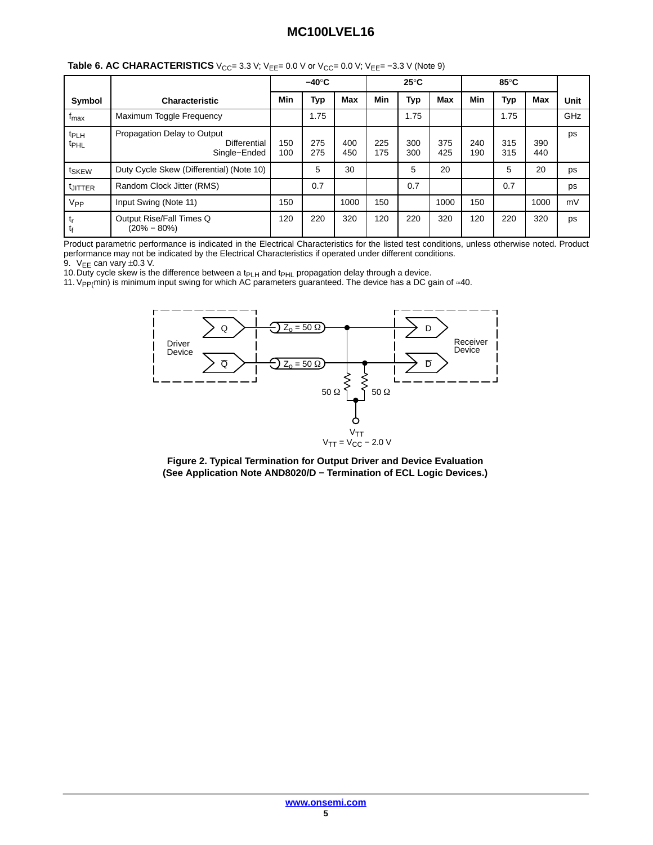|                                      |                                                                    | $-40^\circ C$ |            | $25^{\circ}$ C |            |            | 85°C       |            |            |            |      |
|--------------------------------------|--------------------------------------------------------------------|---------------|------------|----------------|------------|------------|------------|------------|------------|------------|------|
| Symbol                               | <b>Characteristic</b>                                              | Min           | Typ        | <b>Max</b>     | Min        | Typ        | <b>Max</b> | Min        | Typ        | <b>Max</b> | Unit |
| $f_{\text{max}}$                     | Maximum Toggle Frequency                                           |               | 1.75       |                |            | 1.75       |            |            | 1.75       |            | GHz  |
| t <sub>PLH</sub><br><sup>t</sup> PHL | Propagation Delay to Output<br><b>Differential</b><br>Single-Ended | 150<br>100    | 275<br>275 | 400<br>450     | 225<br>175 | 300<br>300 | 375<br>425 | 240<br>190 | 315<br>315 | 390<br>440 | ps   |
| t <sub>SKEW</sub>                    | Duty Cycle Skew (Differential) (Note 10)                           |               | 5          | 30             |            | 5          | 20         |            | 5          | 20         | ps   |
| <sup>t</sup> JITTER                  | Random Clock Jitter (RMS)                                          |               | 0.7        |                |            | 0.7        |            |            | 0.7        |            | ps   |
| V <sub>PP</sub>                      | Input Swing (Note 11)                                              | 150           |            | 1000           | 150        |            | 1000       | 150        |            | 1000       | mV   |
| $t_{\sf r}$<br>$t_f$                 | Output Rise/Fall Times Q<br>$(20\% - 80\%)$                        | 120           | 220        | 320            | 120        | 220        | 320        | 120        | 220        | 320        | ps   |

**Table 6. AC CHARACTERISTICS**  $V_{CC} = 3.3 V$ ;  $V_{EE} = 0.0 V$  or  $V_{CC} = 0.0 V$ ;  $V_{EE} = -3.3 V$  (Note 9)

Product parametric performance is indicated in the Electrical Characteristics for the listed test conditions, unless otherwise noted. Product performance may not be indicated by the Electrical Characteristics if operated under different conditions.

9.  $V_{EE}$  can vary  $\pm 0.3$  V.

10. Duty cycle skew is the difference between a t<sub>PLH</sub> and t<sub>PHL</sub> propagation delay through a device.

11. V<sub>PP(</sub>min) is minimum input swing for which AC parameters guaranteed. The device has a DC gain of ≈40.



**Figure 2. Typical Termination for Output Driver and Device Evaluation (See Application Note AND8020/D − Termination of ECL Logic Devices.)**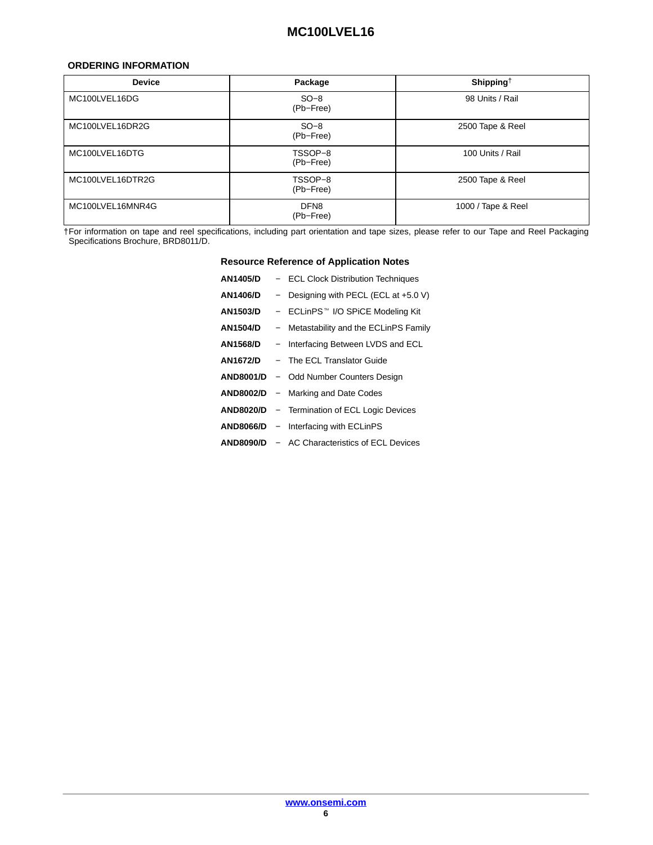#### <span id="page-5-0"></span>**ORDERING INFORMATION**

| <b>Device</b>    | Package                       | Shipping <sup>†</sup> |
|------------------|-------------------------------|-----------------------|
| MC100LVEL16DG    | $SO-8$<br>(Pb-Free)           | 98 Units / Rail       |
| MC100LVEL16DR2G  | $SO-8$<br>(Pb-Free)           | 2500 Tape & Reel      |
| MC100LVEL16DTG   | TSSOP-8<br>(Pb-Free)          | 100 Units / Rail      |
| MC100LVEL16DTR2G | TSSOP-8<br>(Pb-Free)          | 2500 Tape & Reel      |
| MC100LVEL16MNR4G | DFN <sub>8</sub><br>(Pb-Free) | 1000 / Tape & Reel    |

†For information on tape and reel specifications, including part orientation and tape sizes, please refer to our Tape and Reel Packaging Specifications Brochure, BRD8011/D.

**Resource Reference of Application Notes**

| <b>AN1405/D</b>  | - ECL Clock Distribution Techniques                  |
|------------------|------------------------------------------------------|
| AN1406/D         | - Designing with PECL (ECL at $+5.0$ V)              |
| <b>AN1503/D</b>  | - ECLinPS™ I/O SPiCE Modeling Kit                    |
| <b>AN1504/D</b>  | - Metastability and the ECLinPS Family               |
| AN1568/D         | - Interfacing Between LVDS and ECL                   |
| AN1672/D         | - The ECL Translator Guide                           |
|                  | <b>AND8001/D</b> - Odd Number Counters Design        |
| <b>AND8002/D</b> | - Marking and Date Codes                             |
|                  | <b>AND8020/D</b> – Termination of ECL Logic Devices  |
|                  | <b>AND8066/D</b> – Interfacing with ECLinPS          |
|                  | <b>AND8090/D - AC Characteristics of ECL Devices</b> |
|                  |                                                      |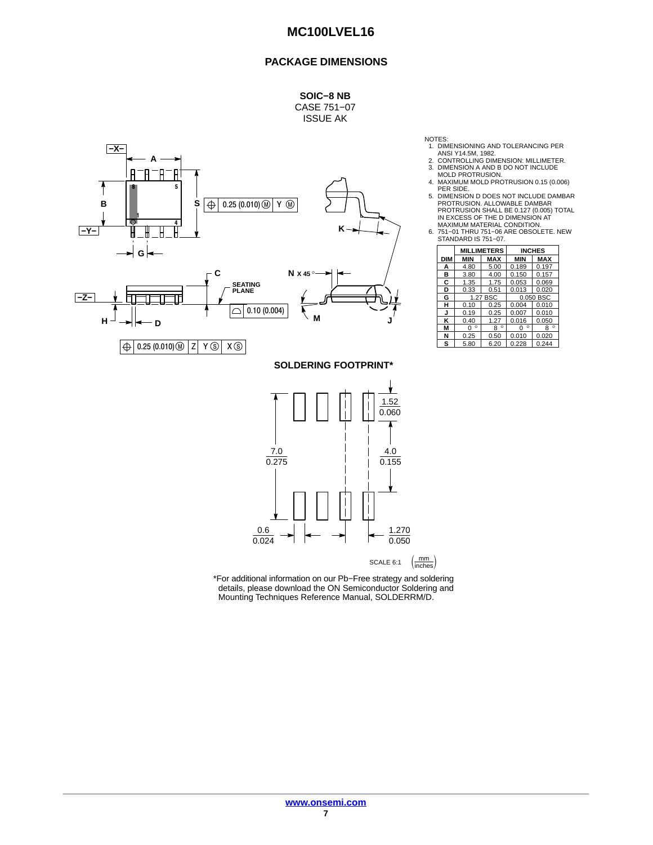#### **PACKAGE DIMENSIONS**

**SOIC−8 NB** CASE 751−07 ISSUE AK



NOTES:

- 1. DIMENSIONING AND TOLERANCING PER
- 
- 
- ANSI Y14.5M, 1982.<br>2. CONTROLLING DIMENSION: MILLIMETER.<br>3. DIMENSION A AND B DO NOT INCLUDE<br>MOLD PROTRUSION.<br>4. MAXIMUM MOLD PROTRUSION 0.15 (0.006)<br>PER SIDE.
- 5. DIMENSION D DOES NOT INCLUDE DAMBAR PROTRUSION. ALLOWABLE DAMBAR PROTRUSION SHALL BE 0.127 (0.005) TOTAL IN EXCESS OF THE D DIMENSION AT
- MAXIMUM MATERIAL CONDITION. 6. 751−01 THRU 751−06 ARE OBSOLETE. NEW STANDARD IS 751−07.

|     |              | <b>MILLIMETERS</b> |              | <b>INCHES</b> |  |  |
|-----|--------------|--------------------|--------------|---------------|--|--|
| DIM | <b>MIN</b>   | <b>MAX</b>         | <b>MIN</b>   | <b>MAX</b>    |  |  |
| А   | 4.80         | 5.00               | 0.189        | 0.197         |  |  |
| B   | 3.80         | 4.00               | 0.150        | 0.157         |  |  |
| C   | 1.35         | 1.75               | 0.053        | 0.069         |  |  |
| D   | 0.33         | 0.51               | 0.013        | 0.020         |  |  |
| G   |              | 1.27 BSC           |              | 0.050 BSC     |  |  |
| н   | 0.10         | 0.25               | 0.004        | 0.010         |  |  |
| J   | 0.19         | 0.25               | 0.007        | 0.010         |  |  |
| ĸ   | 0.40         | 1.27               | 0.016        | 0.050         |  |  |
| М   | $\circ$<br>U | $\circ$<br>8       | $\circ$<br>O | $\circ$<br>8  |  |  |
| N   | 0.25         | 0.50               | 0.010        | 0.020         |  |  |
| s   | 5.80         | 6.20               | 0.228        | 0.244         |  |  |



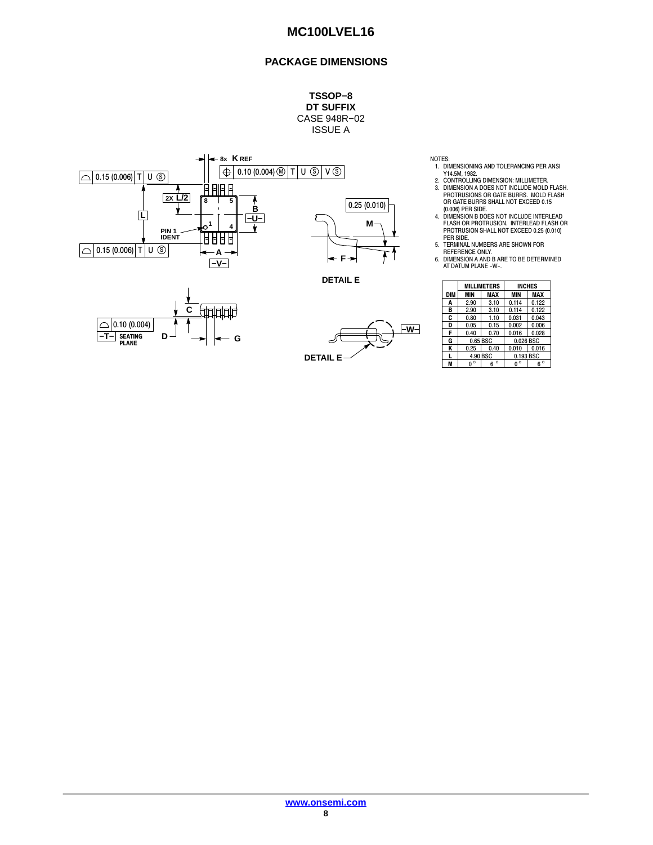## **PACKAGE DIMENSIONS**

**TSSOP−8 DT SUFFIX** CASE 948R−02 ISSUE A









NOTES:

- 1. DIMENSIONING AND TOLERANCING PER ANSI Y14.5M, 1982. 2. CONTROLLING DIMENSION: MILLIMETER.
- 3. DIMENSION A DOES NOT INCLUDE MOLD FLASH. PROTRUSIONS OR GATE BURRS. MOLD FLASH OR GATE BURRS SHALL NOT EXCEED 0.15 (0.006) PER SIDE.
- 4. DIMENSION B DOES NOT INCLUDE INTERLEAD FLASH OR PROTRUSION. INTERLEAD FLASH OR PROTRUSION SHALL NOT EXCEED 0.25 (0.010) PER SIDE.
- 5. TERMINAL NUMBERS ARE SHOWN FOR REFERENCE ONLY.
- 6. DIMENSION A AND B ARE TO BE DETERMINED AT DATUM PLANE -W-.

|     |            | <b>MILLIMETERS</b> | <b>INCHES</b> |             |  |  |
|-----|------------|--------------------|---------------|-------------|--|--|
| DIM | <b>MIN</b> | MAX                | MIN           | <b>MAX</b>  |  |  |
| A   | 2.90       | 3.10               | 0.114         | 0.122       |  |  |
| в   | 2.90       | 3.10               | 0.114         | 0.122       |  |  |
| C   | 0.80       | 1.10               | 0.031         | 0.043       |  |  |
| D   | 0.05       | 0.15               | 0.002         | 0.006       |  |  |
| F   | 0.40       | 0.70               | 0.016         | 0.028       |  |  |
| G   |            | 0.65 BSC           |               | 0.026 BSC   |  |  |
| Κ   | 0.25       | 0.40               | 0.010         | 0.016       |  |  |
|     |            | 4.90 BSC           | 0.193 BSC     |             |  |  |
|     | U          | $\circ$            |               | $6^{\circ}$ |  |  |